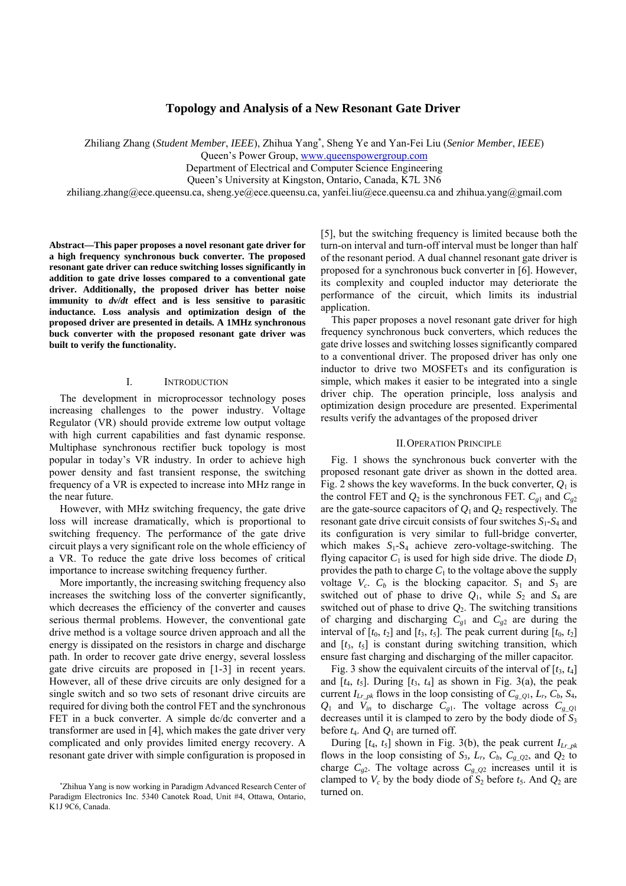# **Topology and Analysis of a New Resonant Gate Driver**

Zhiliang Zhang (*Student Member*, *IEEE*), Zhihua Yang<sup>∗</sup> , Sheng Ye and Yan-Fei Liu (*Senior Member*, *IEEE*)

Queen's Power Group, www.queenspowergroup.com

Department of Electrical and Computer Science Engineering

Queen's University at Kingston, Ontario, Canada, K7L 3N6

zhiliang.zhang@ece.queensu.ca, sheng.ye@ece.queensu.ca, yanfei.liu@ece.queensu.ca and zhihua.yang@gmail.com

**Abstract—This paper proposes a novel resonant gate driver for a high frequency synchronous buck converter. The proposed resonant gate driver can reduce switching losses significantly in addition to gate drive losses compared to a conventional gate driver. Additionally, the proposed driver has better noise immunity to** *dv***/***dt* **effect and is less sensitive to parasitic inductance. Loss analysis and optimization design of the proposed driver are presented in details. A 1MHz synchronous buck converter with the proposed resonant gate driver was built to verify the functionality.**

## I. INTRODUCTION

The development in microprocessor technology poses increasing challenges to the power industry. Voltage Regulator (VR) should provide extreme low output voltage with high current capabilities and fast dynamic response. Multiphase synchronous rectifier buck topology is most popular in today's VR industry. In order to achieve high power density and fast transient response, the switching frequency of a VR is expected to increase into MHz range in the near future.

However, with MHz switching frequency, the gate drive loss will increase dramatically, which is proportional to switching frequency. The performance of the gate drive circuit plays a very significant role on the whole efficiency of a VR. To reduce the gate drive loss becomes of critical importance to increase switching frequency further.

More importantly, the increasing switching frequency also increases the switching loss of the converter significantly, which decreases the efficiency of the converter and causes serious thermal problems. However, the conventional gate drive method is a voltage source driven approach and all the energy is dissipated on the resistors in charge and discharge path. In order to recover gate drive energy, several lossless gate drive circuits are proposed in [1-3] in recent years. However, all of these drive circuits are only designed for a single switch and so two sets of resonant drive circuits are required for diving both the control FET and the synchronous FET in a buck converter. A simple dc/dc converter and a transformer are used in [4], which makes the gate driver very complicated and only provides limited energy recovery. A resonant gate driver with simple configuration is proposed in [5], but the switching frequency is limited because both the turn-on interval and turn-off interval must be longer than half of the resonant period. A dual channel resonant gate driver is proposed for a synchronous buck converter in [6]. However, its complexity and coupled inductor may deteriorate the performance of the circuit, which limits its industrial application.

This paper proposes a novel resonant gate driver for high frequency synchronous buck converters, which reduces the gate drive losses and switching losses significantly compared to a conventional driver. The proposed driver has only one inductor to drive two MOSFETs and its configuration is simple, which makes it easier to be integrated into a single driver chip. The operation principle, loss analysis and optimization design procedure are presented. Experimental results verify the advantages of the proposed driver

## II.OPERATION PRINCIPLE

Fig. 1 shows the synchronous buck converter with the proposed resonant gate driver as shown in the dotted area. Fig. 2 shows the key waveforms. In the buck converter,  $Q_1$  is the control FET and  $Q_2$  is the synchronous FET.  $C_{g1}$  and  $C_{g2}$ are the gate-source capacitors of  $Q_1$  and  $Q_2$  respectively. The resonant gate drive circuit consists of four switches  $S_1$ - $S_4$  and its configuration is very similar to full-bridge converter, which makes  $S_1-S_4$  achieve zero-voltage-switching. The flying capacitor  $C_1$  is used for high side drive. The diode  $D_1$ provides the path to charge  $C_1$  to the voltage above the supply voltage  $V_c$ .  $C_b$  is the blocking capacitor.  $S_1$  and  $S_3$  are switched out of phase to drive  $Q_1$ , while  $S_2$  and  $S_4$  are switched out of phase to drive *Q*2. The switching transitions of charging and discharging  $C_{g1}$  and  $C_{g2}$  are during the interval of  $[t_0, t_2]$  and  $[t_3, t_5]$ . The peak current during  $[t_0, t_2]$ and [*t*3, *t*5] is constant during switching transition, which ensure fast charging and discharging of the miller capacitor.

Fig. 3 show the equivalent circuits of the interval of  $[t_3, t_4]$ and  $[t_4, t_5]$ . During  $[t_3, t_4]$  as shown in Fig. 3(a), the peak current  $I_{Lr_p k}$  flows in the loop consisting of  $C_{g_2Q1}$ ,  $L_r$ ,  $C_b$ ,  $S_4$ ,  $Q_1$  and  $V_{in}$  to discharge  $C_{g1}$ . The voltage across  $C_{g2}$ decreases until it is clamped to zero by the body diode of *S*<sup>3</sup> before  $t_4$ . And  $Q_1$  are turned off.

During  $[t_4, t_5]$  shown in Fig. 3(b), the peak current  $I_{Lr}$ <sub>nk</sub> flows in the loop consisting of  $S_3$ ,  $L_p$ ,  $C_b$ ,  $C_{g_2Q_2}$ , and  $Q_2$  to charge  $C_{g2}$ . The voltage across  $C_{g2}$  increases until it is clamped to  $V_c$  by the body diode of  $S_2$  before  $t_5$ . And  $Q_2$  are turned on.

<sup>∗</sup> Zhihua Yang is now working in Paradigm Advanced Research Center of Paradigm Electronics Inc. 5340 Canotek Road, Unit #4, Ottawa, Ontario, K1J 9C6, Canada.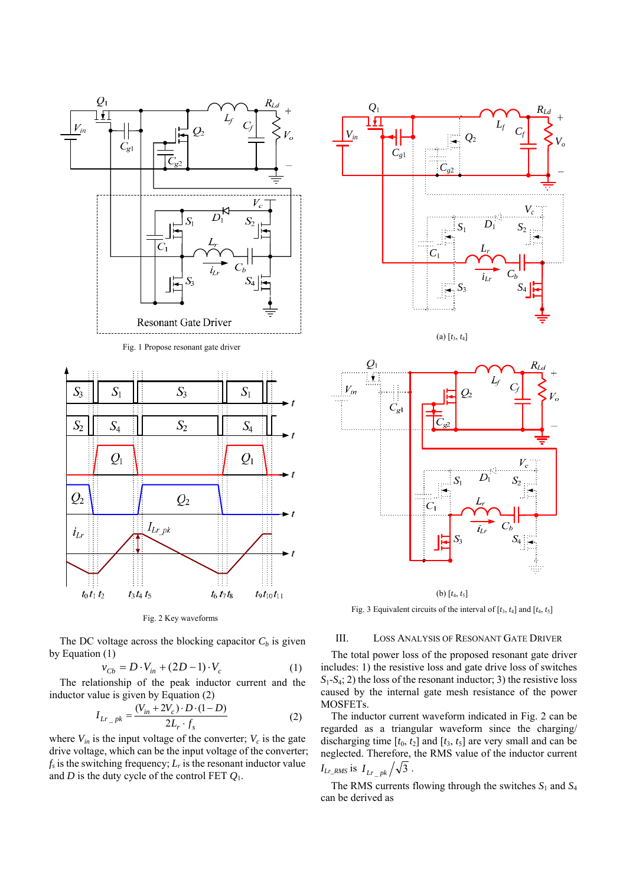



The DC voltage across the blocking capacitor  $C_b$  is given by Equation (1)

$$
v_{Cb} = D \cdot V_{in} + (2D - 1) \cdot V_c \tag{1}
$$

The relationship of the peak inductor current and the inductor value is given by Equation (2)

$$
I_{Lr_{p}} = \frac{(V_{in} + 2V_c) \cdot D \cdot (1 - D)}{2L_r \cdot f_s}
$$
 (2)

where  $V_{in}$  is the input voltage of the converter;  $V_c$  is the gate drive voltage, which can be the input voltage of the converter;  $f_s$  is the switching frequency;  $L_r$  is the resonant inductor value and *D* is the duty cycle of the control FET *Q*1.



(b)  $[t_4, t_5]$ Fig. 3 Equivalent circuits of the interval of  $[t_3, t_4]$  and  $[t_4, t_5]$ 

## III. LOSS ANALYSIS OF RESONANT GATE DRIVER

The total power loss of the proposed resonant gate driver includes: 1) the resistive loss and gate drive loss of switches  $S_1-S_4$ ; 2) the loss of the resonant inductor; 3) the resistive loss caused by the internal gate mesh resistance of the power MOSFETs.

The inductor current waveform indicated in Fig. 2 can be regarded as a triangular waveform since the charging/ discharging time  $[t_0, t_2]$  and  $[t_3, t_5]$  are very small and can be neglected. Therefore, the RMS value of the inductor current  $I_{Lr\_RMS}$  is  $I_{Lr}$   $_{pk}/\sqrt{3}$ .

The RMS currents flowing through the switches *S*<sup>1</sup> and *S*<sup>4</sup> can be derived as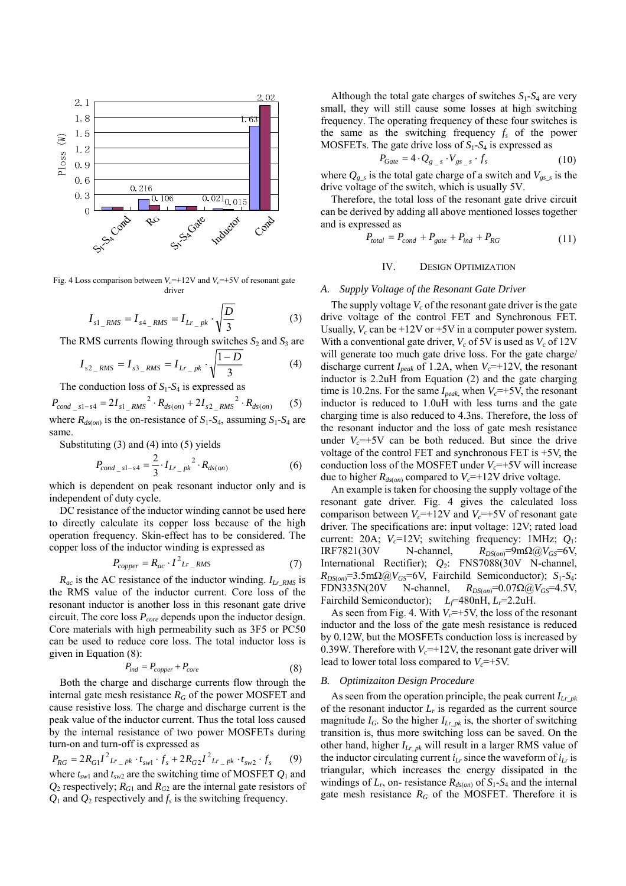

Fig. 4 Loss comparison between  $V_c$ =+12V and  $V_c$ =+5V of resonant gate driver

$$
I_{s1\_RMS} = I_{s4\_RMS} = I_{Lr\_pk} \cdot \sqrt{\frac{D}{3}}
$$
 (3)

The RMS currents flowing through switches  $S_2$  and  $S_3$  are

$$
I_{s2\_RMS} = I_{s3\_RMS} = I_{Lr\_pk} \cdot \sqrt{\frac{1-D}{3}}
$$
(4)

The conduction loss of  $S_1$ - $S_4$  is expressed as

 $P_{cond \quad s1-s4} = 2I_{s1} R_{MS}^{2} \cdot R_{ds(on)} + 2I_{s2} R_{MS}^{2} \cdot R_{ds(on)}$  (5) where  $R_{ds(0n)}$  is the on-resistance of  $S_1$ - $S_4$ , assuming  $S_1$ - $S_4$  are

same.

Substituting (3) and (4) into (5) yields

$$
P_{cond\_sl-s4} = \frac{2}{3} \cdot I_{Lr\_pk}^{2} \cdot R_{ds(on)}
$$
(6)

which is dependent on peak resonant inductor only and is independent of duty cycle.

DC resistance of the inductor winding cannot be used here to directly calculate its copper loss because of the high operation frequency. Skin-effect has to be considered. The copper loss of the inductor winding is expressed as

$$
P_{copper} = R_{ac} \cdot I^2_{Lr\_RMS}
$$
 (7)

 $R_{ac}$  is the AC resistance of the inductor winding.  $I_{Lr,RMS}$  is the RMS value of the inductor current. Core loss of the resonant inductor is another loss in this resonant gate drive circuit. The core loss  $P_{core}$  depends upon the inductor design. Core materials with high permeability such as 3F5 or PC50 can be used to reduce core loss. The total inductor loss is given in Equation (8):

$$
P_{ind} = P_{copper} + P_{core}
$$
 (8)

Both the charge and discharge currents flow through the internal gate mesh resistance  $R_G$  of the power MOSFET and cause resistive loss. The charge and discharge current is the peak value of the inductor current. Thus the total loss caused by the internal resistance of two power MOSFETs during turn-on and turn-off is expressed as

 $P_{RG} = 2R_{G1}I^2 L_{r} P_k \cdot t_{sw1} \cdot f_s + 2R_{G2}I^2 L_{r} P_k \cdot t_{sw2} \cdot f_s$  (9) where  $t_{sw1}$  and  $t_{sw2}$  are the switching time of MOSFET  $O_1$  and  $Q_2$  respectively;  $R_{G1}$  and  $R_{G2}$  are the internal gate resistors of  $Q_1$  and  $Q_2$  respectively and  $f_s$  is the switching frequency.

Although the total gate charges of switches  $S_1$ - $S_4$  are very small, they will still cause some losses at high switching frequency. The operating frequency of these four switches is the same as the switching frequency  $f_s$  of the power MOSFETs. The gate drive loss of  $S_1$ - $S_4$  is expressed as

$$
P_{Gate} = 4 \cdot Q_{g_s} \cdot V_{gs_s} \cdot f_s \tag{10}
$$

where  $Q_{g}$  is the total gate charge of a switch and  $V_{gs}$  is the drive voltage of the switch, which is usually 5V.

Therefore, the total loss of the resonant gate drive circuit can be derived by adding all above mentioned losses together and is expressed as

$$
P_{total} = P_{cond} + P_{gate} + P_{ind} + P_{RG}
$$
 (11)

## IV. DESIGN OPTIMIZATION

## *A. Supply Voltage of the Resonant Gate Driver*

The supply voltage  $V_c$  of the resonant gate driver is the gate drive voltage of the control FET and Synchronous FET. Usually,  $V_c$  can be  $+12V$  or  $+5V$  in a computer power system. With a conventional gate driver,  $V_c$  of 5V is used as  $V_c$  of 12V will generate too much gate drive loss. For the gate charge/ discharge current  $I_{peak}$  of 1.2A, when  $V_c$ =+12V, the resonant inductor is 2.2uH from Equation (2) and the gate charging time is 10.2ns. For the same  $I_{peak}$ , when  $V_c$ =+5V, the resonant inductor is reduced to 1.0uH with less turns and the gate charging time is also reduced to 4.3ns. Therefore, the loss of the resonant inductor and the loss of gate mesh resistance under  $V_c$ =+5V can be both reduced. But since the drive voltage of the control FET and synchronous FET is +5V, the conduction loss of the MOSFET under  $V_c$ =+5V will increase due to higher  $R_{ds(0n)}$  compared to  $V_c$ =+12V drive voltage.

An example is taken for choosing the supply voltage of the resonant gate driver. Fig. 4 gives the calculated loss comparison between  $V_c$ =+12V and  $V_c$ =+5V of resonant gate driver. The specifications are: input voltage: 12V; rated load current: 20A;  $V_c$ =12V; switching frequency: 1MHz;  $Q_1$ :  $IRF7821(30V \tN-channel, \tR_{DS(on)}=9m\Omega @V_{GS}=6V,$ International Rectifier); *Q*2: FNS7088(30V N-channel,  $R_{DS(on)}=3.5$ m $\Omega$ @*V<sub>GS</sub>*=6V, Fairchild Semiconductor); *S*<sub>1</sub>-*S*<sub>4</sub>: FDN335N(20V N-channel, *RDS*(*on*)=0.07Ω@*VGS*=4.5V, Fairchild Semiconductor);  $L_f$ =480nH,  $L_r$ =2.2uH.

As seen from Fig. 4. With  $V_c$ =+5V, the loss of the resonant inductor and the loss of the gate mesh resistance is reduced by 0.12W, but the MOSFETs conduction loss is increased by 0.39W. Therefore with  $V_c$ =+12V, the resonant gate driver will lead to lower total loss compared to  $V_c$ =+5V.

### *B. Optimizaiton Design Procedure*

As seen from the operation principle, the peak current *ILr\_pk* of the resonant inductor  $L_r$  is regarded as the current source magnitude  $I_G$ . So the higher  $I_{Lrpk}$  is, the shorter of switching transition is, thus more switching loss can be saved. On the other hand, higher  $I_{Lrpk}$  will result in a larger RMS value of the inductor circulating current  $i_{Lr}$  since the waveform of  $i_{Lr}$  is triangular, which increases the energy dissipated in the windings of  $L_r$ , on- resistance  $R_{ds(0n)}$  of  $S_1$ - $S_4$  and the internal gate mesh resistance  $R_G$  of the MOSFET. Therefore it is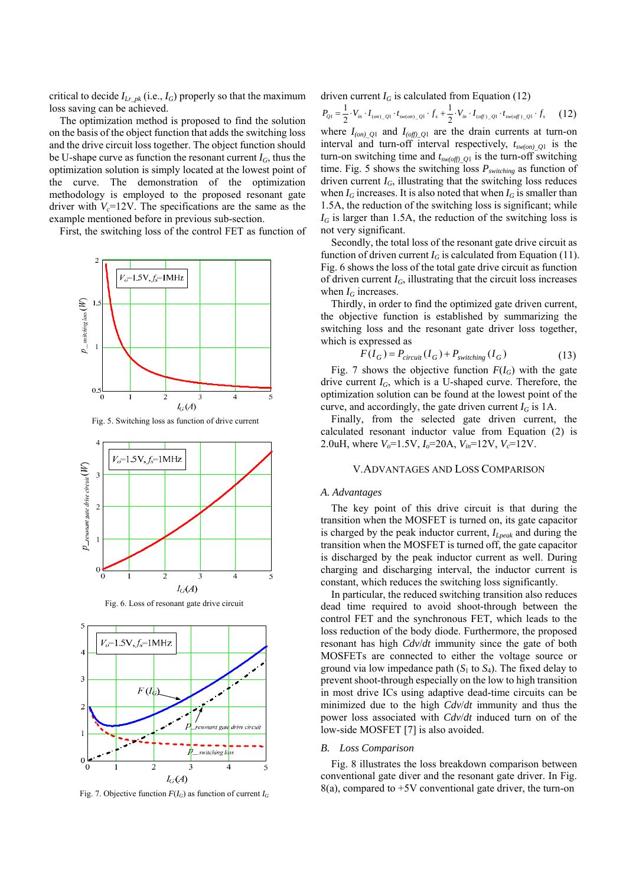critical to decide  $I_{Lrpk}$  (i.e.,  $I_G$ ) properly so that the maximum loss saving can be achieved.

The optimization method is proposed to find the solution on the basis of the object function that adds the switching loss and the drive circuit loss together. The object function should be U-shape curve as function the resonant current  $I_G$ , thus the optimization solution is simply located at the lowest point of the curve. The demonstration of the optimization methodology is employed to the proposed resonant gate driver with  $V_c = 12V$ . The specifications are the same as the example mentioned before in previous sub-section.

First, the switching loss of the control FET as function of



Fig. 5. Switching loss as function of drive current



Fig. 6. Loss of resonant gate drive circuit



Fig. 7. Objective function  $F(I_G)$  as function of current  $I_G$ 

driven current  $I_G$  is calculated from Equation (12)

$$
P_{Q1} = \frac{1}{2} \cdot V_{in} \cdot I_{(on)_{Q1}} \cdot t_{sv(on)_{Q1}} \cdot f_s + \frac{1}{2} \cdot V_{in} \cdot I_{(off)_{Q1}} \cdot t_{sv(off)_{Q1}} \cdot f_s \tag{12}
$$

where  $I_{(on)$   $Q_1}$  and  $I_{(off)Q_1}$  are the drain currents at turn-on interval and turn-off interval respectively,  $t_{sw(on)Q1}$  is the turn-on switching time and  $t_{sw(off)}$   $_{Q1}$  is the turn-off switching time. Fig. 5 shows the switching loss *Pswitching* as function of driven current  $I_G$ , illustrating that the switching loss reduces when  $I_G$  increases. It is also noted that when  $I_G$  is smaller than 1.5A, the reduction of the switching loss is significant; while  $I_G$  is larger than 1.5A, the reduction of the switching loss is not very significant.

Secondly, the total loss of the resonant gate drive circuit as function of driven current  $I_G$  is calculated from Equation (11). Fig. 6 shows the loss of the total gate drive circuit as function of driven current *IG*, illustrating that the circuit loss increases when  $I_G$  increases.

Thirdly, in order to find the optimized gate driven current, the objective function is established by summarizing the switching loss and the resonant gate driver loss together, which is expressed as

$$
F(I_G) = P_{circuit}(I_G) + P_{switching}(I_G)
$$
\n(13)

Fig. 7 shows the objective function  $F(I_G)$  with the gate drive current *IG*, which is a U-shaped curve. Therefore, the optimization solution can be found at the lowest point of the curve, and accordingly, the gate driven current  $I_G$  is 1A.

Finally, from the selected gate driven current, the calculated resonant inductor value from Equation (2) is 2.0uH, where  $V_o=1.5V$ ,  $I_o=20A$ ,  $V_{in}=12V$ ,  $V_c=12V$ .

## V.ADVANTAGES AND LOSS COMPARISON

#### *A. Advantages*

The key point of this drive circuit is that during the transition when the MOSFET is turned on, its gate capacitor is charged by the peak inductor current, *ILpeak* and during the transition when the MOSFET is turned off, the gate capacitor is discharged by the peak inductor current as well. During charging and discharging interval, the inductor current is constant, which reduces the switching loss significantly.

In particular, the reduced switching transition also reduces dead time required to avoid shoot-through between the control FET and the synchronous FET, which leads to the loss reduction of the body diode. Furthermore, the proposed resonant has high *Cdv*/*dt* immunity since the gate of both MOSFETs are connected to either the voltage source or ground via low impedance path  $(S_1 \text{ to } S_4)$ . The fixed delay to prevent shoot-through especially on the low to high transition in most drive ICs using adaptive dead-time circuits can be minimized due to the high *Cdv*/*dt* immunity and thus the power loss associated with *Cdv*/*dt* induced turn on of the low-side MOSFET [7] is also avoided.

#### *B. Loss Comparison*

Fig. 8 illustrates the loss breakdown comparison between conventional gate diver and the resonant gate driver. In Fig.  $8(a)$ , compared to  $+5V$  conventional gate driver, the turn-on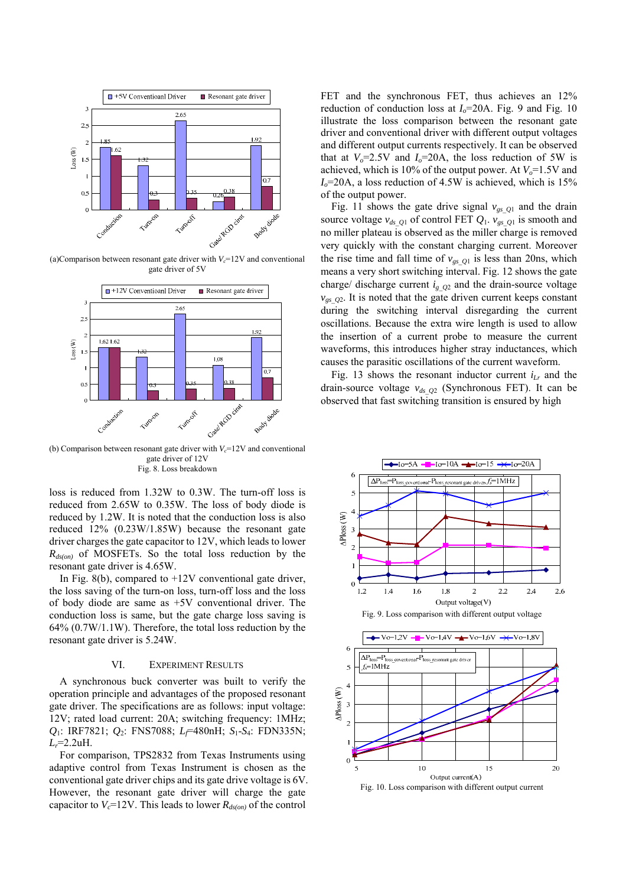

(a)Comparison between resonant gate driver with  $V_c$ =12V and conventional gate driver of 5V



(b) Comparison between resonant gate driver with  $V_c$ =12V and conventional gate driver of 12V Fig. 8. Loss breakdown

loss is reduced from 1.32W to 0.3W. The turn-off loss is reduced from 2.65W to 0.35W. The loss of body diode is reduced by 1.2W. It is noted that the conduction loss is also reduced 12% (0.23W/1.85W) because the resonant gate driver charges the gate capacitor to 12V, which leads to lower *Rds(on)* of MOSFETs. So the total loss reduction by the resonant gate driver is 4.65W.

In Fig. 8(b), compared to  $+12V$  conventional gate driver, the loss saving of the turn-on loss, turn-off loss and the loss of body diode are same as +5V conventional driver. The conduction loss is same, but the gate charge loss saving is 64% (0.7W/1.1W). Therefore, the total loss reduction by the resonant gate driver is 5.24W.

### VI. EXPERIMENT RESULTS

A synchronous buck converter was built to verify the operation principle and advantages of the proposed resonant gate driver. The specifications are as follows: input voltage: 12V; rated load current: 20A; switching frequency: 1MHz; *Q*1: IRF7821; *Q*2: FNS7088; *Lf*=480nH; *S*1-*S*4: FDN335N; *Lr*=2.2uH.

For comparison, TPS2832 from Texas Instruments using adaptive control from Texas Instrument is chosen as the conventional gate driver chips and its gate drive voltage is 6V. However, the resonant gate driver will charge the gate capacitor to  $V_c$ =12V. This leads to lower  $R_{ds(on)}$  of the control

FET and the synchronous FET, thus achieves an  $12\%$ reduction of conduction loss at *I<sub>o</sub>*=20A. Fig. 9 and Fig. 10 illustrate the loss comparison between the resonant gate driver and conventional driver with different output voltages and different output currents respectively. It can be observed that at  $V_o = 2.5V$  and  $I_o = 20A$ , the loss reduction of 5W is achieved, which is 10% of the output power. At  $V<sub>o</sub>=1.5V$  and  $I<sub>o</sub>=20A$ , a loss reduction of 4.5W is achieved, which is 15% of the output power.

Fig. 11 shows the gate drive signal  $v_{gs\_Q1}$  and the drain source voltage  $v_{ds_0}$  of control FET  $Q_1$ .  $v_{gs_0}$  is smooth and no miller plateau is observed as the miller charge is removed very quickly with the constant charging current. Moreover the rise time and fall time of  $v_{gsQ1}$  is less than 20ns, which means a very short switching interval. Fig. 12 shows the gate charge/ discharge current  $i<sub>g</sub>$   $_{O2}$  and the drain-source voltage  $v_{gsQ2}$ . It is noted that the gate driven current keeps constant during the switching interval disregarding the current oscillations. Because the extra wire length is used to allow the insertion of a current probe to measure the current waveforms, this introduces higher stray inductances, which causes the parasitic oscillations of the current waveform.

Fig. 13 shows the resonant inductor current  $i_{Lr}$  and the drain-source voltage  $v_{ds}$   $_{O2}$  (Synchronous FET). It can be observed that fast switching transition is ensured by high

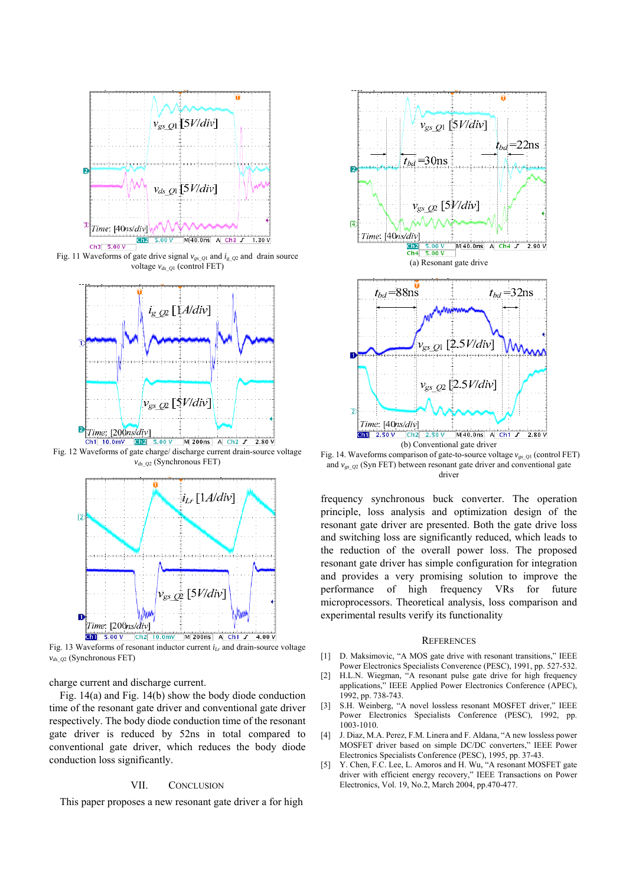

Fig. 11 Waveforms of gate drive signal  $v_{gsQ1}$  and  $i_{gQ2}$  and drain source voltage *vds*\_*Q*1 (control FET)



Fig. 12 Waveforms of gate charge/ discharge current drain-source voltage *vds*\_*Q*2 (Synchronous FET)



Fig. 13 Waveforms of resonant inductor current *iLr* and drain-source voltage *vds*\_*Q*2 (Synchronous FET)

charge current and discharge current.

Fig. 14(a) and Fig. 14(b) show the body diode conduction time of the resonant gate driver and conventional gate driver respectively. The body diode conduction time of the resonant gate driver is reduced by 52ns in total compared to conventional gate driver, which reduces the body diode conduction loss significantly.

### VII. CONCLUSION

This paper proposes a new resonant gate driver a for high



Fig. 14. Waveforms comparison of gate-to-source voltage  $v_{gs}$   $_{Q1}$  (control FET) and  $v_{gs}$   $_{Q2}$  (Syn FET) between resonant gate driver and conventional gate driver

frequency synchronous buck converter. The operation principle, loss analysis and optimization design of the resonant gate driver are presented. Both the gate drive loss and switching loss are significantly reduced, which leads to the reduction of the overall power loss. The proposed resonant gate driver has simple configuration for integration and provides a very promising solution to improve the performance of high frequency VRs for future microprocessors. Theoretical analysis, loss comparison and experimental results verify its functionality

## **REFERENCES**

- [1] D. Maksimovic, "A MOS gate drive with resonant transitions," IEEE Power Electronics Specialists Converence (PESC), 1991, pp. 527-532.
- [2] H.L.N. Wiegman, "A resonant pulse gate drive for high frequency applications," IEEE Applied Power Electronics Conference (APEC), 1992, pp. 738-743.
- [3] S.H. Weinberg, "A novel lossless resonant MOSFET driver," IEEE Power Electronics Specialists Conference (PESC), 1992, pp. 1003-1010.
- [4] J. Diaz, M.A. Perez, F.M. Linera and F. Aldana, "A new lossless power MOSFET driver based on simple DC/DC converters," IEEE Power Electronics Specialists Conference (PESC), 1995, pp. 37-43.
- [5] Y. Chen, F.C. Lee, L. Amoros and H. Wu, "A resonant MOSFET gate driver with efficient energy recovery," IEEE Transactions on Power Electronics, Vol. 19, No.2, March 2004, pp.470-477.